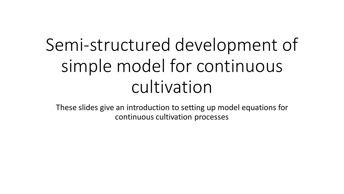## Semi-structured development of simple model for continuous cultivation

These slides give an introduction to setting up model equations for continuous cultivation processes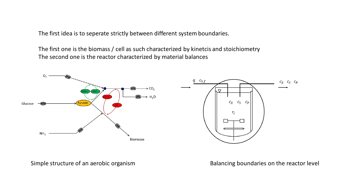The first idea is to seperate strictly between different system boundaries.

The first one is the biomass / cell as such characterized by kinetcis and stoichiometry The second one is the reactor characterized by material balances



Simple structure of an aerobic organism **Balancing boundaries on the reactor level**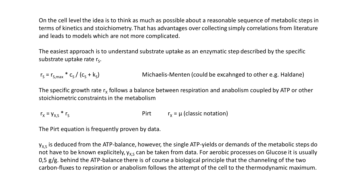On the cell level the idea is to think as much as possible about a reasonable sequence of metabolic steps in terms of kinetics and stoichiometry. That has advantages over collecting simply correlations from literature and leads to models which are not more complicated.

The easiest approach is to understand substrate uptake as an enzymatic step described by the specific substrate uptake rate  $r_s$ .

 $r_S = r_{S,max} * c_S / (c_S + k_S)$  Michaelis-Menten (could be excahnged to other e.g. Haldane)

The specific growth rate  $r_x$  follows a balance between respiration and anabolism coupled by ATP or other stoichiometric constraints in the metabolism

 $r_x = y_{x,S}$  \*  $r_s$  Pirt  $r_x = \mu$  (classic notation)

The Pirt equation is frequently proven by data.

 $y_{X,S}$  is deduced from the ATP-balance, however, the single ATP-yields or demands of the metabolic steps do not have to be known explicitely,  $y_{X,S}$  can be taken from data. For aerobic processes on Glucose it is usually 0,5 g/g. behind the ATP-balance there is of course a biological principle that the channeling of the two carbon-fluxes to repsiration or anabolism follows the attempt of the cell to the thermodynamic maximum.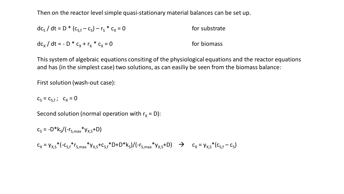Then on the reactor level simple quasi-stationary material balances can be set up.

$$
dc_{S} / dt = D * (c_{S,f} - c_{S}) - r_{S} * c_{X} = 0
$$
 for substrate  

$$
dc_{X} / dt = - D * c_{X} + r_{X} * c_{X} = 0
$$
 for biomass

This system of algebraic equations consiting of the physiological equations and the reactor equations and has (in the simplest case) two solutions, as can easiliy be seen from the biomass balance:

First solution (wash-out case):

 $c_S = c_{S,f}$ ;  $c_X = 0$ 

Second solution (normal operation with  $r_x = D$ ):

 $c_s = -D^*k_s/(-r_{s,max}^*y_{x,s}+D)$  $c_x = y_{x,s} * (-c_{s,f} * r_{s,max} * y_{x,s} + c_{s,f} * D + D * k_s) / (-r_{s,max} * y_{x,s} + D)$   $\rightarrow$   $c_x = y_{x,s} * (c_{s,f} - c_s)$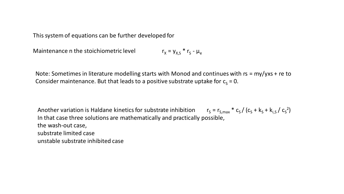This system of equations can be further developed for

Maintenance n the stoichiometric level  $r_x = y_{x,s} * r_s - \mu_e$ 

Note: Sometimes in literature modelling starts with Monod and continues with rs = my/yxs + re to Consider maintenance. But that leads to a positive substrate uptake for  $c_s = 0$ .

Another variation is Haldane kinetics for substrate inhibition  $r_S = r_{S,max} * c_S / (c_S + k_S + k_{i.S} / c_S^2)$ In that case three solutions are mathematically and practically possible, the wash-out case, substrate limited case unstable substrate inhibited case